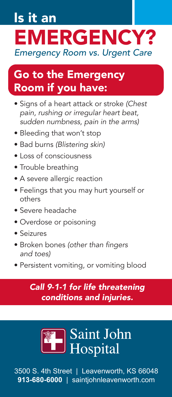# Is it an EMERGENCY? *Emergency Room vs. Urgent Care*

### Go to the Emergency Room if you have:

- Signs of a heart attack or stroke *(Chest pain, rushing or irregular heart beat, sudden numbness, pain in the arms)*
- Bleeding that won't stop
- Bad burns *(Blistering skin)*
- Loss of consciousness
- Trouble breathing
- A severe allergic reaction
- Feelings that you may hurt yourself or others
- Severe headache
- Overdose or poisoning
- Seizures
- Broken bones (other than fingers *and toes)*
- Persistent vomiting, or vomiting blood

#### *Call 9-1-1 for life threatening conditions and injuries.*



3500 S. 4th Street | Leavenworth, KS 66048 **913-680-6000** | saintjohnleavenworth.com